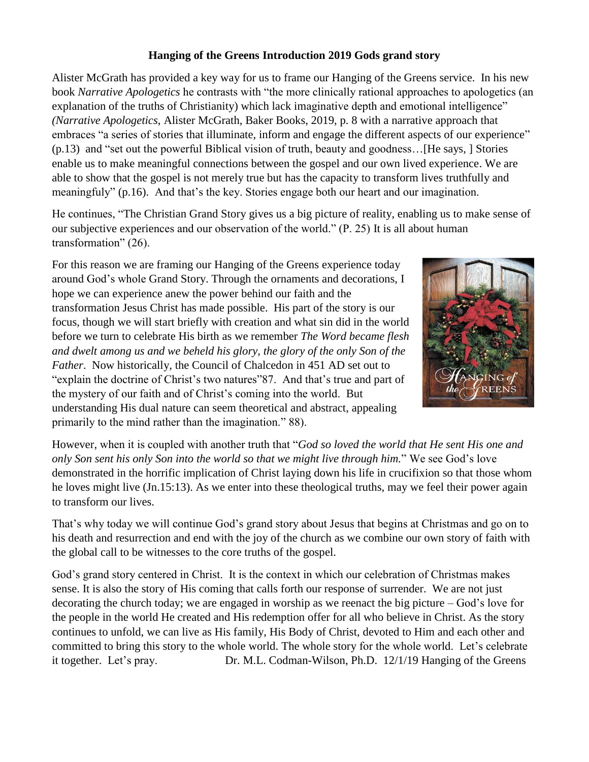# **Hanging of the Greens Introduction 2019 Gods grand story**

Alister McGrath has provided a key way for us to frame our Hanging of the Greens service. In his new book *Narrative Apologetics* he contrasts with "the more clinically rational approaches to apologetics (an explanation of the truths of Christianity) which lack imaginative depth and emotional intelligence" *(Narrative Apologetics*, Alister McGrath, Baker Books, 2019, p. 8 with a narrative approach that embraces "a series of stories that illuminate, inform and engage the different aspects of our experience" (p.13) and "set out the powerful Biblical vision of truth, beauty and goodness…[He says, ] Stories enable us to make meaningful connections between the gospel and our own lived experience. We are able to show that the gospel is not merely true but has the capacity to transform lives truthfully and meaningfuly" (p.16). And that's the key. Stories engage both our heart and our imagination.

He continues, "The Christian Grand Story gives us a big picture of reality, enabling us to make sense of our subjective experiences and our observation of the world." (P. 25) It is all about human transformation" (26).

For this reason we are framing our Hanging of the Greens experience today around God's whole Grand Story. Through the ornaments and decorations, I hope we can experience anew the power behind our faith and the transformation Jesus Christ has made possible. His part of the story is our focus, though we will start briefly with creation and what sin did in the world before we turn to celebrate His birth as we remember *The Word became flesh and dwelt among us and we beheld his glory, the glory of the only Son of the Father*. Now historically, the Council of Chalcedon in 451 AD set out to "explain the doctrine of Christ's two natures"87. And that's true and part of the mystery of our faith and of Christ's coming into the world. But understanding His dual nature can seem theoretical and abstract, appealing primarily to the mind rather than the imagination." 88).



However, when it is coupled with another truth that "*God so loved the world that He sent His one and only Son sent his only Son into the world so that we might live through him.*" We see God's love demonstrated in the horrific implication of Christ laying down his life in crucifixion so that those whom he loves might live (Jn.15:13). As we enter into these theological truths, may we feel their power again to transform our lives.

That's why today we will continue God's grand story about Jesus that begins at Christmas and go on to his death and resurrection and end with the joy of the church as we combine our own story of faith with the global call to be witnesses to the core truths of the gospel.

God's grand story centered in Christ. It is the context in which our celebration of Christmas makes sense. It is also the story of His coming that calls forth our response of surrender. We are not just decorating the church today; we are engaged in worship as we reenact the big picture – God's love for the people in the world He created and His redemption offer for all who believe in Christ. As the story continues to unfold, we can live as His family, His Body of Christ, devoted to Him and each other and committed to bring this story to the whole world. The whole story for the whole world. Let's celebrate it together. Let's pray. Dr. M.L. Codman-Wilson, Ph.D. 12/1/19 Hanging of the Greens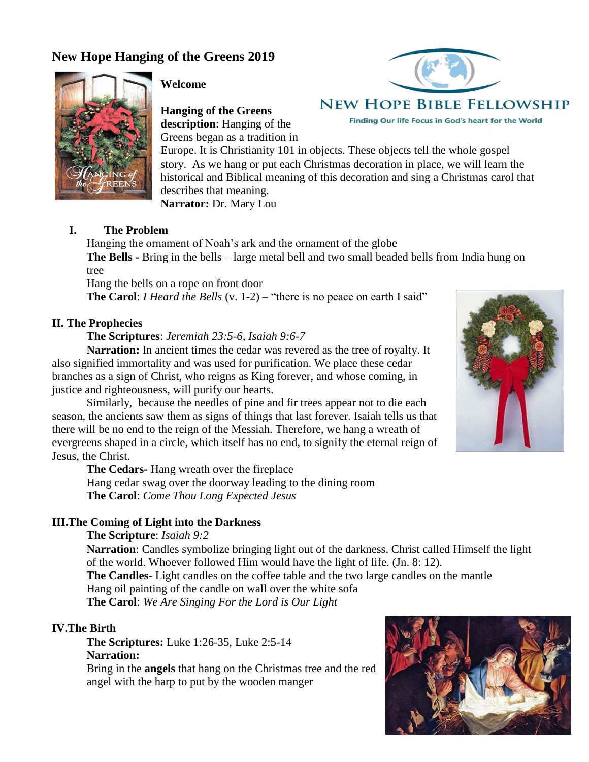# **New Hope Hanging of the Greens 2019**



### **Welcome**

**Hanging of the Greens description**: Hanging of the Greens began as a tradition in



# **NEW HOPE BIBLE FELLOWSHIP**

Finding Our life Focus in God's heart for the World

Europe. It is Christianity 101 in objects. These objects tell the whole gospel story. As we hang or put each Christmas decoration in place, we will learn the historical and Biblical meaning of this decoration and sing a Christmas carol that describes that meaning.

**Narrator:** Dr. Mary Lou

### **I. The Problem**

Hanging the ornament of Noah's ark and the ornament of the globe **The Bells -** Bring in the bells – large metal bell and two small beaded bells from India hung on tree

Hang the bells on a rope on front door

**The Carol**: *I Heard the Bells* (v. 1-2) – "there is no peace on earth I said"

### **II. The Prophecies**

**The Scriptures**: *Jeremiah 23:5-6, Isaiah 9:6-7*

**Narration:** In ancient times the cedar was revered as the tree of royalty. It also signified immortality and was used for purification. We place these cedar branches as a sign of Christ, who reigns as King forever, and whose coming, in justice and righteousness, will purify our hearts.

Similarly, because the needles of pine and fir trees appear not to die each season, the ancients saw them as signs of things that last forever. Isaiah tells us that there will be no end to the reign of the Messiah. Therefore, we hang a wreath of evergreens shaped in a circle, which itself has no end, to signify the eternal reign of Jesus, the Christ.

**The Cedars-** Hang wreath over the fireplace Hang cedar swag over the doorway leading to the dining room **The Carol**: *Come Thou Long Expected Jesus*

#### **III.The Coming of Light into the Darkness**

### **The Scripture**: *Isaiah 9:2*

**Narration**: Candles symbolize bringing light out of the darkness. Christ called Himself the light of the world. Whoever followed Him would have the light of life. (Jn. 8: 12).

**The Candles**- Light candles on the coffee table and the two large candles on the mantle

Hang oil painting of the candle on wall over the white sofa

**The Carol**: *We Are Singing For the Lord is Our Light*

## **IV.The Birth**

**The Scriptures:** Luke 1:26-35, Luke 2:5-14 **Narration:** 

Bring in the **angels** that hang on the Christmas tree and the red angel with the harp to put by the wooden manger



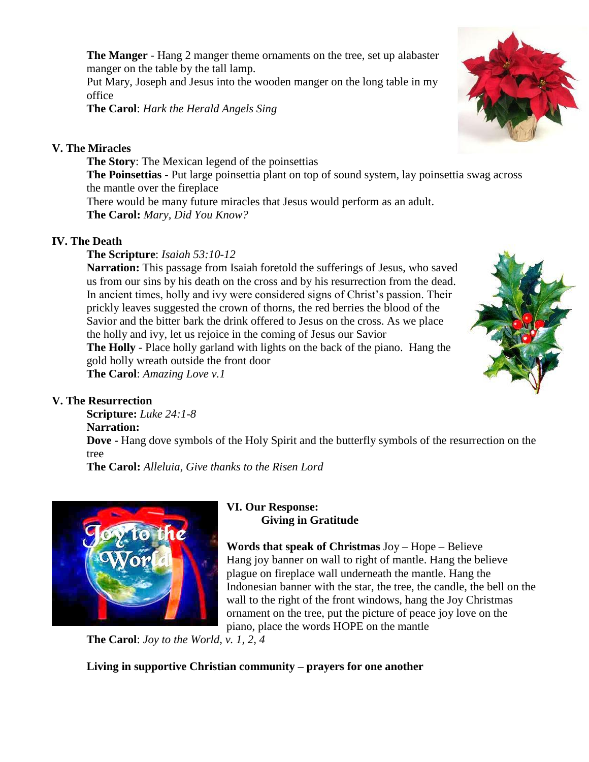**The Manger** - Hang 2 manger theme ornaments on the tree, set up alabaster manger on the table by the tall lamp.

Put Mary, Joseph and Jesus into the wooden manger on the long table in my office

**The Carol**: *Hark the Herald Angels Sing*

# **V. The Miracles**

**The Story**: The Mexican legend of the poinsettias **The Poinsettias** - Put large poinsettia plant on top of sound system, lay poinsettia swag across the mantle over the fireplace There would be many future miracles that Jesus would perform as an adult. **The Carol:** *Mary, Did You Know?*

# **IV. The Death**

**The Scripture**: *Isaiah 53:10-12*

**Narration:** This passage from Isaiah foretold the sufferings of Jesus, who saved us from our sins by his death on the cross and by his resurrection from the dead. In ancient times, holly and ivy were considered signs of Christ's passion. Their prickly leaves suggested the crown of thorns, the red berries the blood of the Savior and the bitter bark the drink offered to Jesus on the cross. As we place the holly and ivy, let us rejoice in the coming of Jesus our Savior **The Holly** - Place holly garland with lights on the back of the piano. Hang the gold holly wreath outside the front door **The Carol**: *Amazing Love v.1*



**Scripture:** *Luke 24:1-8*

## **Narration:**

**Dove -** Hang dove symbols of the Holy Spirit and the butterfly symbols of the resurrection on the tree

**The Carol:** *Alleluia, Give thanks to the Risen Lord*



## **VI. Our Response: Giving in Gratitude**

**Words that speak of Christmas** Joy – Hope – Believe Hang joy banner on wall to right of mantle. Hang the believe plague on fireplace wall underneath the mantle. Hang the Indonesian banner with the star, the tree, the candle, the bell on the wall to the right of the front windows, hang the Joy Christmas ornament on the tree, put the picture of peace joy love on the piano, place the words HOPE on the mantle

**The Carol**: *Joy to the World, v. 1, 2, 4*

**Living in supportive Christian community – prayers for one another**